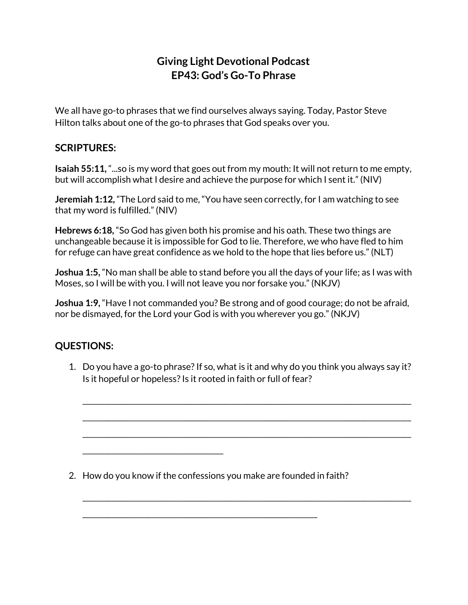## **Giving Light Devotional Podcast EP43: God's Go-To Phrase**

We all have go-to phrases that we find ourselves always saying. Today, Pastor Steve Hilton talks about one of the go-to phrases that God speaks over you.

## **SCRIPTURES:**

**Isaiah 55:11,** "...so is my word that goes out from my mouth: It will not return to me empty, but will accomplish what I desire and achieve the purpose for which I sent it." (NIV)

**Jeremiah 1:12,** "The Lord said to me, "You have seen correctly, for I am watching to see that my word is fulfilled." (NIV)

**Hebrews 6:18,** "So God has given both his promise and his oath. These two things are unchangeable because it is impossible for God to lie. Therefore, we who have fled to him for refuge can have great confidence as we hold to the hope that lies before us." (NLT)

**Joshua 1:5,** "No man shall be able to stand before you all the days of your life; as I was with Moses, so I will be with you. I will not leave you nor forsake you." (NKJV)

**Joshua 1:9,** "Have I not commanded you? Be strong and of good courage; do not be afraid, nor be dismayed, for the Lord your God is with you wherever you go." (NKJV)

## **QUESTIONS:**

1. Do you have a go-to phrase?If so, what is it and why do you think you always say it? Is it hopeful or hopeless? Is it rooted in faith or full of fear?

\_\_\_\_\_\_\_\_\_\_\_\_\_\_\_\_\_\_\_\_\_\_\_\_\_\_\_\_\_\_\_\_\_\_\_\_\_\_\_\_\_\_\_\_\_\_\_\_\_\_\_\_\_\_\_\_\_\_\_\_\_\_\_\_\_\_\_\_\_\_\_\_\_\_\_\_\_\_\_\_\_\_\_\_\_\_\_\_\_\_\_

\_\_\_\_\_\_\_\_\_\_\_\_\_\_\_\_\_\_\_\_\_\_\_\_\_\_\_\_\_\_\_\_\_\_\_\_\_\_\_\_\_\_\_\_\_\_\_\_\_\_\_\_\_\_\_\_\_\_\_\_\_\_\_\_\_\_\_\_\_\_\_\_\_\_\_\_\_\_\_\_\_\_\_\_\_\_\_\_\_\_\_

\_\_\_\_\_\_\_\_\_\_\_\_\_\_\_\_\_\_\_\_\_\_\_\_\_\_\_\_\_\_\_\_\_\_\_\_\_\_\_\_\_\_\_\_\_\_\_\_\_\_\_\_\_\_\_\_\_\_\_\_\_\_\_\_\_\_\_\_\_\_\_\_\_\_\_\_\_\_\_\_\_\_\_\_\_\_\_\_\_\_\_

\_\_\_\_\_\_\_\_\_\_\_\_\_\_\_\_\_\_\_\_\_\_\_\_\_\_\_\_\_\_\_\_\_\_\_\_\_\_\_\_\_\_\_\_\_\_\_\_\_\_\_\_\_\_\_\_\_\_\_\_\_\_\_\_\_\_\_\_\_\_\_\_\_\_\_\_\_\_\_\_\_\_\_\_\_\_\_\_\_\_\_

2. How do you know if the confessions you make are founded in faith?

\_\_\_\_\_\_\_\_\_\_\_\_\_\_\_\_\_\_\_\_\_\_\_\_\_\_\_\_\_\_\_\_\_\_\_\_\_\_\_\_\_\_\_\_\_\_\_\_\_\_\_\_\_\_\_\_\_\_\_\_\_\_\_\_\_

\_\_\_\_\_\_\_\_\_\_\_\_\_\_\_\_\_\_\_\_\_\_\_\_\_\_\_\_\_\_\_\_\_\_\_\_\_\_\_